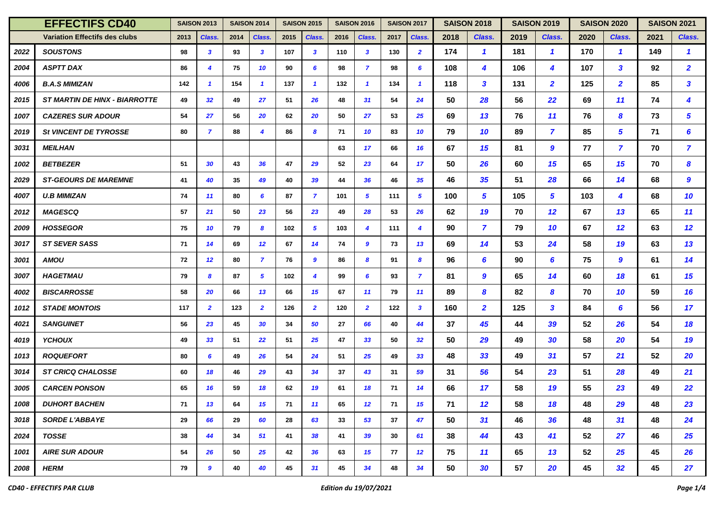| <b>EFFECTIFS CD40</b> |                                      | <b>SAISON 2013</b> |                         | <b>SAISON 2014</b> |                         | <b>SAISON 2015</b> |                | <b>SAISON 2016</b> |                         | <b>SAISON 2017</b> |                  | <b>SAISON 2018</b> |                | <b>SAISON 2019</b> |                | <b>SAISON 2020</b> |                | <b>SAISON 2021</b> |                         |
|-----------------------|--------------------------------------|--------------------|-------------------------|--------------------|-------------------------|--------------------|----------------|--------------------|-------------------------|--------------------|------------------|--------------------|----------------|--------------------|----------------|--------------------|----------------|--------------------|-------------------------|
|                       | <b>Variation Effectifs des clubs</b> | 2013               | Class.                  | 2014               | Class.                  | 2015               | Class.         | 2016               | Class.                  | 2017               | Class.           | 2018               | Class.         | 2019               | Class.         | 2020               | Class.         | 2021               | Class.                  |
| 2022                  | <b>SOUSTONS</b>                      | 98                 | 3                       | 93                 | $\mathbf{3}$            | 107                | 3              | 110                | $\mathbf{3}$            | 130                | $\overline{2}$   | 174                | $\mathbf{1}$   | 181                | $\mathbf{1}$   | 170                | $\mathbf{1}$   | 149                | $\mathbf{1}$            |
| 2004                  | <b>ASPTT DAX</b>                     | 86                 | 4                       | 75                 | 10                      | 90                 | 6              | 98                 | $\overline{7}$          | 98                 | 6                | 108                | 4              | 106                | 4              | 107                | 3              | 92                 | $\overline{2}$          |
| 4006                  | <b>B.A.S MIMIZAN</b>                 | 142                | $\mathbf{1}$            | 154                | $\mathbf{1}$            | 137                | $\mathbf{1}$   | 132                | $\overline{\mathbf{1}}$ | 134                | $\mathbf{1}$     | 118                | 3              | 131                | $\overline{2}$ | 125                | $\overline{2}$ | 85                 | $\mathbf{3}$            |
| 2015                  | <b>ST MARTIN DE HINX - BIARROTTE</b> | 49                 | 32                      | 49                 | 27                      | 51                 | 26             | 48                 | 31                      | 54                 | 24               | 50                 | 28             | 56                 | 22             | 69                 | 11             | 74                 | $\overline{\mathbf{4}}$ |
| 1007                  | <b>CAZERES SUR ADOUR</b>             | 54                 | 27                      | 56                 | 20                      | 62                 | 20             | 50                 | 27                      | 53                 | 25               | 69                 | 13             | 76                 | 11             | 76                 | 8              | 73                 | 5                       |
| 2019                  | <b>St VINCENT DE TYROSSE</b>         | 80                 | 7                       | 88                 | $\overline{\mathbf{4}}$ | 86                 | 8              | 71                 | 10                      | 83                 | 10               | 79                 | 10             | 89                 | $\overline{7}$ | 85                 | 5              | 71                 | 6                       |
| 3031                  | <b>MEILHAN</b>                       |                    |                         |                    |                         |                    |                | 63                 | 17                      | 66                 | 16               | 67                 | 15             | 81                 | 9              | 77                 | $\overline{7}$ | 70                 | $\mathbf{7}$            |
| 1002                  | <b>BETBEZER</b>                      | 51                 | 30                      | 43                 | 36                      | 47                 | 29             | 52                 | 23                      | 64                 | 17               | 50                 | 26             | 60                 | 15             | 65                 | 15             | 70                 | 8                       |
| 2029                  | <b>ST-GEOURS DE MAREMNE</b>          | 41                 | 40                      | 35                 | 49                      | 40                 | 39             | 44                 | 36                      | 46                 | 35 <sub>5</sub>  | 46                 | 35             | 51                 | 28             | 66                 | 14             | 68                 | 9                       |
| 4007                  | <b>U.B MIMIZAN</b>                   | 74                 | 11                      | 80                 | 6                       | 87                 | $\overline{7}$ | 101                | 5                       | 111                | $5^{\circ}$      | 100                | 5              | 105                | 5              | 103                | 4              | 68                 | 10                      |
| 2012                  | <b>MAGESCQ</b>                       | 57                 | 21                      | 50                 | 23                      | 56                 | 23             | 49                 | 28                      | 53                 | 26               | 62                 | 19             | 70                 | 12             | 67                 | 13             | 65                 | 11                      |
| 2009                  | <b>HOSSEGOR</b>                      | 75                 | 10                      | 79                 | 8                       | 102                | 5              | 103                | $\boldsymbol{4}$        | 111                | $\overline{4}$   | 90                 | $\mathbf{7}$   | 79                 | 10             | 67                 | 12             | 63                 | 12                      |
| 3017                  | <b>ST SEVER SASS</b>                 | 71                 | 14                      | 69                 | 12 <sup>2</sup>         | 67                 | 14             | 74                 | 9                       | 73                 | 13               | 69                 | 14             | 53                 | 24             | 58                 | 19             | 63                 | 13                      |
| 3001                  | <b>AMOU</b>                          | 72                 | 12                      | 80                 | $\overline{z}$          | 76                 | 9              | 86                 | 8                       | 91                 | $\boldsymbol{s}$ | 96                 | 6              | 90                 | 6              | 75                 | 9              | 61                 | 14                      |
| 3007                  | <b>HAGETMAU</b>                      | 79                 | 8                       | 87                 | 5                       | 102                | 4              | 99                 | 6                       | 93                 | $\mathbf{z}$     | 81                 | 9              | 65                 | 14             | 60                 | 18             | 61                 | 15                      |
| 4002                  | <b>BISCARROSSE</b>                   | 58                 | 20                      | 66                 | 13                      | 66                 | 15             | 67                 | 11                      | 79                 | 11               | 89                 | 8              | 82                 | 8              | 70                 | 10             | 59                 | 16                      |
| 1012                  | <b>STADE MONTOIS</b>                 | 117                | $\overline{\mathbf{2}}$ | 123                | $\overline{2}$          | 126                | $\overline{2}$ | 120                | $\overline{2}$          | 122                | $\mathbf{3}$     | 160                | $\overline{2}$ | 125                | 3              | 84                 | 6              | 56                 | 17                      |
| 4021                  | <b>SANGUINET</b>                     | 56                 | 23                      | 45                 | 30                      | 34                 | 50             | 27                 | 66                      | 40                 | 44               | 37                 | 45             | 44                 | 39             | 52                 | 26             | 54                 | 18                      |
| 4019                  | <b>YCHOUX</b>                        | 49                 | 33                      | 51                 | 22                      | 51                 | 25             | 47                 | 33                      | 50                 | 32               | 50                 | 29             | 49                 | 30             | 58                 | 20             | 54                 | 19                      |
| 1013                  | <b>ROQUEFORT</b>                     | 80                 | 6                       | 49                 | 26                      | 54                 | 24             | 51                 | 25                      | 49                 | 33               | 48                 | 33             | 49                 | 31             | 57                 | 21             | 52                 | 20                      |
| 3014                  | <b>ST CRICQ CHALOSSE</b>             | 60                 | 18                      | 46                 | 29                      | 43                 | 34             | 37                 | 43                      | 31                 | 59               | 31                 | 56             | 54                 | 23             | 51                 | 28             | 49                 | 21                      |
| 3005                  | <b>CARCEN PONSON</b>                 | 65                 | 16                      | 59                 | 18                      | 62                 | 19             | 61                 | 18                      | 71                 | 14               | 66                 | 17             | 58                 | 19             | 55                 | 23             | 49                 | 22                      |
| 1008                  | <b>DUHORT BACHEN</b>                 | 71                 | 13                      | 64                 | 15                      | 71                 | 11             | 65                 | $12 \,$                 | 71                 | 15               | 71                 | 12             | 58                 | 18             | 48                 | 29             | 48                 | 23                      |
| 3018                  | <b>SORDE L'ABBAYE</b>                | 29                 | 66                      | 29                 | 60                      | 28                 | 63             | 33                 | 53                      | 37                 | 47               | 50                 | 31             | 46                 | 36             | 48                 | 31             | 48                 | 24                      |
| 2024                  | TOSSE                                | 38                 | 44                      | 34                 | 51                      | 41                 | 38             | 41                 | 39                      | 30                 | 61               | 38                 | 44             | 43                 | 41             | 52                 | 27             | 46                 | 25                      |
| 1001                  | <b>AIRE SUR ADOUR</b>                | 54                 | 26                      | 50                 | 25                      | 42                 | 36             | 63                 | 15                      | 77                 | 12               | 75                 | 11             | 65                 | 13             | 52                 | 25             | 45                 | 26                      |
| 2008                  | <b>HERM</b>                          | 79                 | 9                       | 40                 | 40                      | 45                 | 31             | 45                 | 34                      | 48                 | 34               | 50                 | 30             | 57                 | 20             | 45                 | 32             | 45                 | 27                      |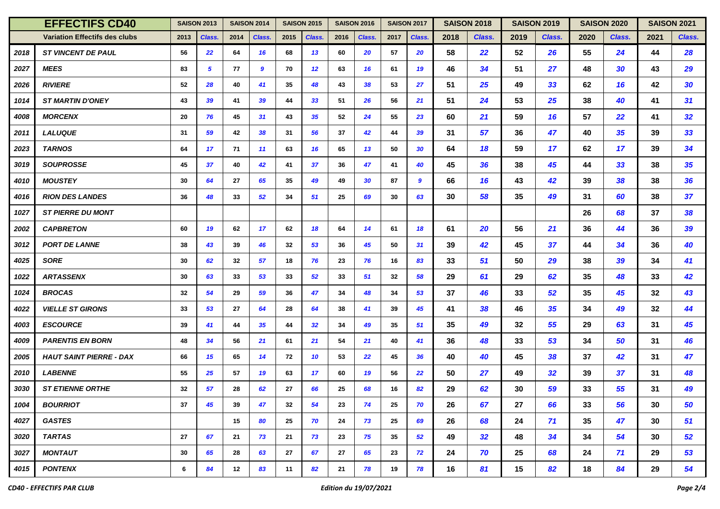| <b>EFFECTIFS CD40</b> |                                      | <b>SAISON 2013</b> |        | <b>SAISON 2014</b> |                 | <b>SAISON 2015</b> |        | <b>SAISON 2016</b> |        | <b>SAISON 2017</b> |        | <b>SAISON 2018</b> |                 | <b>SAISON 2019</b> |        | <b>SAISON 2020</b> |        | <b>SAISON 2021</b> |                 |
|-----------------------|--------------------------------------|--------------------|--------|--------------------|-----------------|--------------------|--------|--------------------|--------|--------------------|--------|--------------------|-----------------|--------------------|--------|--------------------|--------|--------------------|-----------------|
|                       | <b>Variation Effectifs des clubs</b> | 2013               | Class. | 2014               | Class.          | 2015               | Class. | 2016               | Class. | 2017               | Class. | 2018               | Class.          | 2019               | Class. | 2020               | Class. | 2021               | Class.          |
| 2018                  | <b>ST VINCENT DE PAUL</b>            | 56                 | 22     | 64                 | 16              | 68                 | 13     | 60                 | 20     | 57                 | 20     | 58                 | 22              | 52                 | 26     | 55                 | 24     | 44                 | 28              |
| 2027                  | <b>MEES</b>                          | 83                 | 5      | 77                 | 9               | 70                 | 12     | 63                 | 16     | 61                 | 19     | 46                 | 34              | 51                 | 27     | 48                 | 30     | 43                 | 29              |
| 2026                  | <b>RIVIERE</b>                       | 52                 | 28     | 40                 | 41              | 35                 | 48     | 43                 | 38     | 53                 | 27     | 51                 | 25              | 49                 | 33     | 62                 | 16     | 42                 | 30              |
| 1014                  | <b>ST MARTIN D'ONEY</b>              | 43                 | 39     | 41                 | 39              | 44                 | 33     | 51                 | 26     | 56                 | 21     | 51                 | 24              | 53                 | 25     | 38                 | 40     | 41                 | 31              |
| 4008                  | <b>MORCENX</b>                       | 20                 | 76     | 45                 | 31              | 43                 | 35     | 52                 | 24     | 55                 | 23     | 60                 | 21              | 59                 | 16     | 57                 | 22     | 41                 | 32 <sub>2</sub> |
| 2011                  | <b>LALUQUE</b>                       | 31                 | 59     | 42                 | 38              | 31                 | 56     | 37                 | 42     | 44                 | 39     | 31                 | 57              | 36                 | 47     | 40                 | 35     | 39                 | 33              |
| 2023                  | <b>TARNOS</b>                        | 64                 | 17     | 71                 | 11              | 63                 | 16     | 65                 | 13     | 50                 | 30     | 64                 | 18              | 59                 | 17     | 62                 | 17     | 39                 | 34              |
| 3019                  | <b>SOUPROSSE</b>                     | 45                 | 37     | 40                 | 42              | 41                 | 37     | 36                 | 47     | 41                 | 40     | 45                 | 36              | 38                 | 45     | 44                 | 33     | 38                 | 35              |
| 4010                  | <b>MOUSTEY</b>                       | 30                 | 64     | 27                 | 65              | 35                 | 49     | 49                 | 30     | 87                 | 9      | 66                 | 16              | 43                 | 42     | 39                 | 38     | 38                 | 36              |
| 4016                  | <b>RION DES LANDES</b>               | 36                 | 48     | 33                 | 52              | 34                 | 51     | 25                 | 69     | 30                 | 63     | 30                 | 58              | 35                 | 49     | 31                 | 60     | 38                 | 37              |
| 1027                  | <b>ST PIERRE DU MONT</b>             |                    |        |                    |                 |                    |        |                    |        |                    |        |                    |                 |                    |        | 26                 | 68     | 37                 | 38              |
| 2002                  | <b>CAPBRETON</b>                     | 60                 | 19     | 62                 | 17              | 62                 | 18     | 64                 | 14     | 61                 | 18     | 61                 | 20              | 56                 | 21     | 36                 | 44     | 36                 | 39              |
| 3012                  | <b>PORT DE LANNE</b>                 | 38                 | 43     | 39                 | 46              | 32                 | 53     | 36                 | 45     | 50                 | 31     | 39                 | 42              | 45                 | 37     | 44                 | 34     | 36                 | 40              |
| 4025                  | <b>SORE</b>                          | 30                 | 62     | 32                 | 57              | 18                 | 76     | 23                 | 76     | 16                 | 83     | 33                 | 51              | 50                 | 29     | 38                 | 39     | 34                 | 41              |
| 1022                  | <b>ARTASSENX</b>                     | 30                 | 63     | 33                 | 53              | 33                 | 52     | 33                 | 51     | 32                 | 58     | 29                 | 61              | 29                 | 62     | 35                 | 48     | 33                 | 42              |
| 1024                  | <b>BROCAS</b>                        | 32                 | 54     | 29                 | 59              | 36                 | 47     | 34                 | 48     | 34                 | 53     | 37                 | 46              | 33                 | 52     | 35                 | 45     | 32                 | 43              |
| 4022                  | <b>VIELLE ST GIRONS</b>              | 33                 | 53     | 27                 | 64              | 28                 | 64     | 38                 | 41     | 39                 | 45     | 41                 | 38              | 46                 | 35     | 34                 | 49     | 32                 | 44              |
| 4003                  | <b>ESCOURCE</b>                      | 39                 | 41     | 44                 | 35 <sub>5</sub> | 44                 | 32     | 34                 | 49     | 35                 | 51     | 35                 | 49              | 32                 | 55     | 29                 | 63     | 31                 | 45              |
| 4009                  | <b>PARENTIS EN BORN</b>              | 48                 | 34     | 56                 | 21              | 61                 | 21     | 54                 | 21     | 40                 | 41     | 36                 | 48              | 33                 | 53     | 34                 | 50     | 31                 | 46              |
| 2005                  | <b>HAUT SAINT PIERRE - DAX</b>       | 66                 | 15     | 65                 | 14              | 72                 | 10     | 53                 | 22     | 45                 | 36     | 40                 | 40              | 45                 | 38     | 37                 | 42     | 31                 | 47              |
| 2010                  | <b>LABENNE</b>                       | 55                 | 25     | 57                 | 19              | 63                 | 17     | 60                 | 19     | 56                 | 22     | 50                 | 27              | 49                 | 32     | 39                 | 37     | 31                 | 48              |
| 3030                  | <b>ST ETIENNE ORTHE</b>              | 32                 | 57     | 28                 | 62              | 27                 | 66     | 25                 | 68     | 16                 | 82     | 29                 | 62              | 30                 | 59     | 33                 | 55     | 31                 | 49              |
| 1004                  | <b>BOURRIOT</b>                      | 37                 | 45     | 39                 | 47              | 32                 | 54     | 23                 | 74     | 25                 | 70     | 26                 | 67              | 27                 | 66     | 33                 | 56     | 30                 | 50              |
| 4027                  | <b>GASTES</b>                        |                    |        | 15                 | 80              | 25                 | 70     | 24                 | 73     | 25                 | 69     | 26                 | 68              | 24                 | 71     | 35                 | 47     | 30                 | 51              |
| 3020                  | <b>TARTAS</b>                        | 27                 | 67     | 21                 | 73              | 21                 | 73     | 23                 | 75     | 35                 | 52     | 49                 | 32 <sub>2</sub> | 48                 | 34     | 34                 | 54     | 30                 | 52 <sub>2</sub> |
| 3027                  | <b>MONTAUT</b>                       | 30                 | 65     | 28                 | 63              | 27                 | 67     | 27                 | 65     | 23                 | 72     | 24                 | 70              | 25                 | 68     | 24                 | 71     | 29                 | 53              |
| 4015                  | <b>PONTENX</b>                       | 6                  | 84     | 12                 | 83              | 11                 | 82     | 21                 | 78     | 19                 | 78     | 16                 | 81              | 15                 | 82     | 18                 | 84     | 29                 | 54              |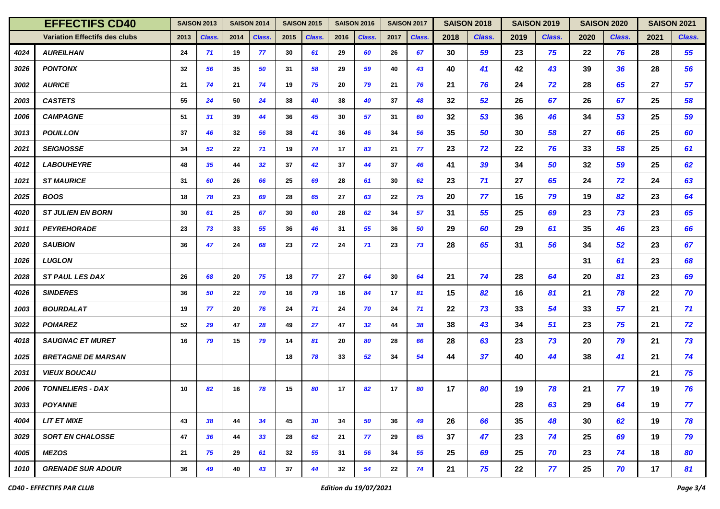| <b>EFFECTIFS CD40</b> |                                      | <b>SAISON 2013</b> |        | <b>SAISON 2014</b> |        | <b>SAISON 2015</b> |        | <b>SAISON 2016</b> |                 | <b>SAISON 2017</b> |        | <b>SAISON 2018</b> |        | <b>SAISON 2019</b> |        | <b>SAISON 2020</b> |        | <b>SAISON 2021</b> |        |
|-----------------------|--------------------------------------|--------------------|--------|--------------------|--------|--------------------|--------|--------------------|-----------------|--------------------|--------|--------------------|--------|--------------------|--------|--------------------|--------|--------------------|--------|
|                       | <b>Variation Effectifs des clubs</b> | 2013               | Class. | 2014               | Class. | 2015               | Class. | 2016               | Class.          | 2017               | Class. | 2018               | Class. | 2019               | Class. | 2020               | Class. | 2021               | Class. |
| 4024                  | <b>AUREILHAN</b>                     | 24                 | 71     | 19                 | 77     | 30                 | 61     | 29                 | 60              | 26                 | 67     | 30                 | 59     | 23                 | 75     | 22                 | 76     | 28                 | 55     |
| 3026                  | <b>PONTONX</b>                       | 32                 | 56     | 35                 | 50     | 31                 | 58     | 29                 | 59              | 40                 | 43     | 40                 | 41     | 42                 | 43     | 39                 | 36     | 28                 | 56     |
| 3002                  | <b>AURICE</b>                        | 21                 | 74     | 21                 | 74     | 19                 | 75     | 20                 | 79              | 21                 | 76     | 21                 | 76     | 24                 | 72     | 28                 | 65     | 27                 | 57     |
| 2003                  | <b>CASTETS</b>                       | 55                 | 24     | 50                 | 24     | 38                 | 40     | 38                 | 40              | 37                 | 48     | 32                 | 52     | 26                 | 67     | 26                 | 67     | 25                 | 58     |
| 1006                  | <b>CAMPAGNE</b>                      | 51                 | 31     | 39                 | 44     | 36                 | 45     | 30                 | 57              | 31                 | 60     | 32                 | 53     | 36                 | 46     | 34                 | 53     | 25                 | 59     |
| 3013                  | <b>POUILLON</b>                      | 37                 | 46     | 32                 | 56     | 38                 | 41     | 36                 | 46              | 34                 | 56     | 35                 | 50     | 30                 | 58     | 27                 | 66     | 25                 | 60     |
| 2021                  | <b>SEIGNOSSE</b>                     | 34                 | 52     | 22                 | 71     | 19                 | 74     | 17                 | 83              | 21                 | 77     | 23                 | 72     | 22                 | 76     | 33                 | 58     | 25                 | 61     |
| 4012                  | <b>LABOUHEYRE</b>                    | 48                 | 35     | 44                 | 32     | 37                 | 42     | 37                 | 44              | 37                 | 46     | 41                 | 39     | 34                 | 50     | 32                 | 59     | 25                 | 62     |
| 1021                  | <b>ST MAURICE</b>                    | 31                 | 60     | 26                 | 66     | 25                 | 69     | 28                 | 61              | 30                 | 62     | 23                 | 71     | 27                 | 65     | 24                 | 72     | 24                 | 63     |
| 2025                  | <b>BOOS</b>                          | 18                 | 78     | 23                 | 69     | 28                 | 65     | 27                 | 63              | 22                 | 75     | 20                 | 77     | 16                 | 79     | 19                 | 82     | 23                 | 64     |
| 4020                  | <b>ST JULIEN EN BORN</b>             | 30                 | 61     | 25                 | 67     | 30                 | 60     | 28                 | 62              | 34                 | 57     | 31                 | 55     | 25                 | 69     | 23                 | 73     | 23                 | 65     |
| 3011                  | <b>PEYREHORADE</b>                   | 23                 | 73     | 33                 | 55     | 36                 | 46     | 31                 | 55              | 36                 | 50     | 29                 | 60     | 29                 | 61     | 35                 | 46     | 23                 | 66     |
| 2020                  | <b>SAUBION</b>                       | 36                 | 47     | 24                 | 68     | 23                 | 72     | 24                 | 71              | 23                 | 73     | 28                 | 65     | 31                 | 56     | 34                 | 52     | 23                 | 67     |
| 1026                  | <b>LUGLON</b>                        |                    |        |                    |        |                    |        |                    |                 |                    |        |                    |        |                    |        | 31                 | 61     | 23                 | 68     |
| 2028                  | <b>ST PAUL LES DAX</b>               | 26                 | 68     | 20                 | 75     | 18                 | 77     | 27                 | 64              | 30                 | 64     | 21                 | 74     | 28                 | 64     | 20                 | 81     | 23                 | 69     |
| 4026                  | <b>SINDERES</b>                      | 36                 | 50     | 22                 | 70     | 16                 | 79     | 16                 | 84              | 17                 | 81     | 15                 | 82     | 16                 | 81     | 21                 | 78     | 22                 | 70     |
| 1003                  | <b>BOURDALAT</b>                     | 19                 | 77     | 20                 | 76     | 24                 | 71     | 24                 | 70              | 24                 | 71     | 22                 | 73     | 33                 | 54     | 33                 | 57     | 21                 | 71     |
| 3022                  | <b>POMAREZ</b>                       | 52                 | 29     | 47                 | 28     | 49                 | 27     | 47                 | 32 <sub>2</sub> | 44                 | 38     | 38                 | 43     | 34                 | 51     | 23                 | 75     | 21                 | 72     |
| 4018                  | <b>SAUGNAC ET MURET</b>              | 16                 | 79     | 15                 | 79     | 14                 | 81     | 20                 | 80              | 28                 | 66     | 28                 | 63     | 23                 | 73     | 20                 | 79     | 21                 | 73     |
| 1025                  | <b>BRETAGNE DE MARSAN</b>            |                    |        |                    |        | 18                 | 78     | 33                 | 52              | 34                 | 54     | 44                 | 37     | 40                 | 44     | 38                 | 41     | 21                 | 74     |
| 2031                  | <b>VIEUX BOUCAU</b>                  |                    |        |                    |        |                    |        |                    |                 |                    |        |                    |        |                    |        |                    |        | 21                 | 75     |
| 2006                  | <b>TONNELIERS - DAX</b>              | 10                 | 82     | 16                 | 78     | 15                 | 80     | 17                 | 82              | 17                 | 80     | 17                 | 80     | 19                 | 78     | 21                 | 77     | 19                 | 76     |
| 3033                  | <b>POYANNE</b>                       |                    |        |                    |        |                    |        |                    |                 |                    |        |                    |        | 28                 | 63     | 29                 | 64     | 19                 | 77     |
| 4004                  | <b>LIT ET MIXE</b>                   | 43                 | 38     | 44                 | 34     | 45                 | 30     | 34                 | 50              | 36                 | 49     | 26                 | 66     | 35                 | 48     | 30                 | 62     | 19                 | 78     |
| 3029                  | <b>SORT EN CHALOSSE</b>              | 47                 | 36     | 44                 | 33     | 28                 | 62     | 21                 | 77              | 29                 | 65     | 37                 | 47     | 23                 | 74     | 25                 | 69     | 19                 | 79     |
| 4005                  | <b>MEZOS</b>                         | 21                 | 75     | 29                 | 61     | 32                 | 55     | 31                 | 56              | 34                 | 55     | 25                 | 69     | 25                 | 70     | 23                 | 74     | 18                 | 80     |
| 1010                  | <b>GRENADE SUR ADOUR</b>             | 36                 | 49     | 40                 | 43     | 37                 | 44     | 32                 | 54              | 22                 | 74     | 21                 | 75     | 22                 | 77     | 25                 | 70     | 17                 | 81     |